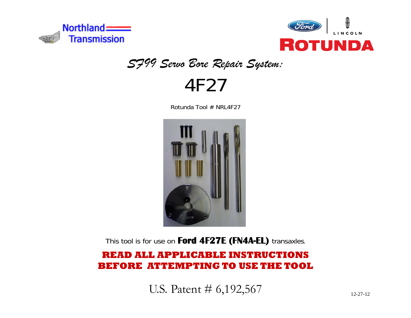



## *SF99 Servo Bore Repair System:*

4F27

Rotunda Tool # NRL4F27



This tool is for use on **Ford 4F27E (FN4A-EL)** transaxles.

## **READ ALL APPLICABLE INSTRUCTIONS BEFORE ATTEMPTING TO USE THE TOOL**

U.S. Patent # 6,192,567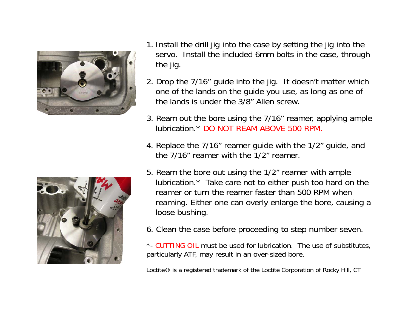

- 1. Install the drill jig into the case by setting the jig into the servo. Install the included 6mm bolts in the case, through the jig.
- 2. Drop the 7/16" guide into the jig. It doesn't matter which one of the lands on the guide you use, as long as one of the lands is under the 3/8" Allen screw.
- 3. Ream out the bore using the 7/16" reamer, applying ample lubrication.\* DO NOT REAM ABOVE 500 RPM.
- 4. Replace the 7/16" reamer guide with the 1/2" guide, and the 7/16" reamer with the 1/2" reamer.
- 5. Ream the bore out using the 1/2" reamer with ample lubrication.\* Take care not to either push too hard on the reamer or turn the reamer faster than 500 RPM when reaming. Either one can overly enlarge the bore, causing a loose bushing.
- 6. Clean the case before proceeding to step number seven.

\*- CUTTING OIL must be used for lubrication. The use of substitutes, particularly ATF, may result in an over-sized bore.

Loctite® is a registered trademark of the Loctite Corporation of Rocky Hill, CT

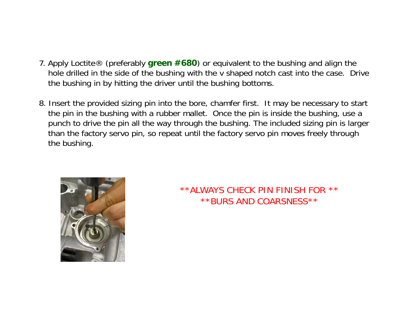- 7. Apply Loctite® (preferably **green #680**) or equivalent to the bushing and align the hole drilled in the side of the bushing with the v shaped notch cast into the case. Drive the bushing in by hitting the driver until the bushing bottoms.
- 8. Insert the provided sizing pin into the bore, chamfer first. It may be necessary to start the pin in the bushing with a rubber mallet. Once the pin is inside the bushing, use a punch to drive the pin all the way through the bushing. The included sizing pin is larger than the factory servo pin, so repeat until the factory servo pin moves freely through the bushing.



\*\*ALWAYS CHECK PIN FINISH FOR \*\* \*\*BURS AND COARSNESS\*\*